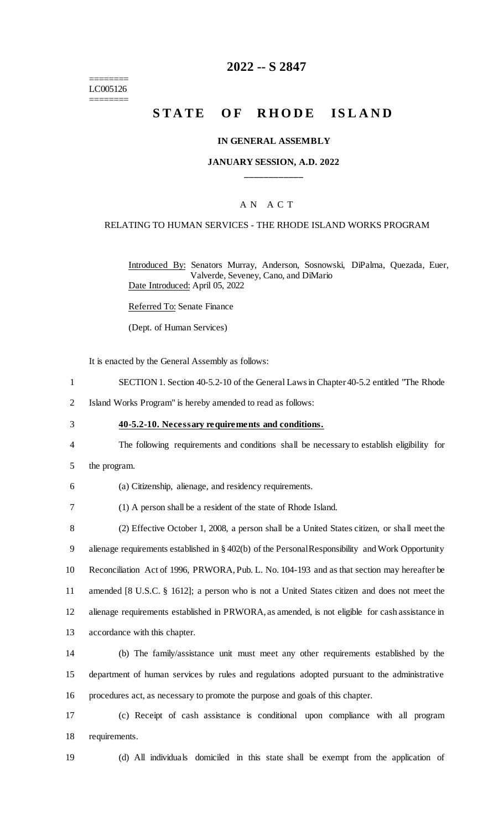======== LC005126 ========

# **2022 -- S 2847**

# **STATE OF RHODE ISLAND**

#### **IN GENERAL ASSEMBLY**

#### **JANUARY SESSION, A.D. 2022 \_\_\_\_\_\_\_\_\_\_\_\_**

#### A N A C T

#### RELATING TO HUMAN SERVICES - THE RHODE ISLAND WORKS PROGRAM

Introduced By: Senators Murray, Anderson, Sosnowski, DiPalma, Quezada, Euer, Valverde, Seveney, Cano, and DiMario Date Introduced: April 05, 2022

Referred To: Senate Finance

(Dept. of Human Services)

It is enacted by the General Assembly as follows:

- 1 SECTION 1. Section 40-5.2-10 of the General Laws in Chapter 40-5.2 entitled "The Rhode
- 2 Island Works Program" is hereby amended to read as follows:
- 3 **40-5.2-10. Necessary requirements and conditions.**
- 4 The following requirements and conditions shall be necessary to establish eligibility for
- 5 the program.

6 (a) Citizenship, alienage, and residency requirements.

7 (1) A person shall be a resident of the state of Rhode Island.

 (2) Effective October 1, 2008, a person shall be a United States citizen, or shall meet the alienage requirements established in § 402(b) of the Personal Responsibility and Work Opportunity Reconciliation Act of 1996, PRWORA, Pub. L. No. 104-193 and as that section may hereafter be amended [8 U.S.C. § 1612]; a person who is not a United States citizen and does not meet the alienage requirements established in PRWORA, as amended, is not eligible for cash assistance in accordance with this chapter.

14 (b) The family/assistance unit must meet any other requirements established by the 15 department of human services by rules and regulations adopted pursuant to the administrative 16 procedures act, as necessary to promote the purpose and goals of this chapter.

17 (c) Receipt of cash assistance is conditional upon compliance with all program 18 requirements.

19 (d) All individuals domiciled in this state shall be exempt from the application of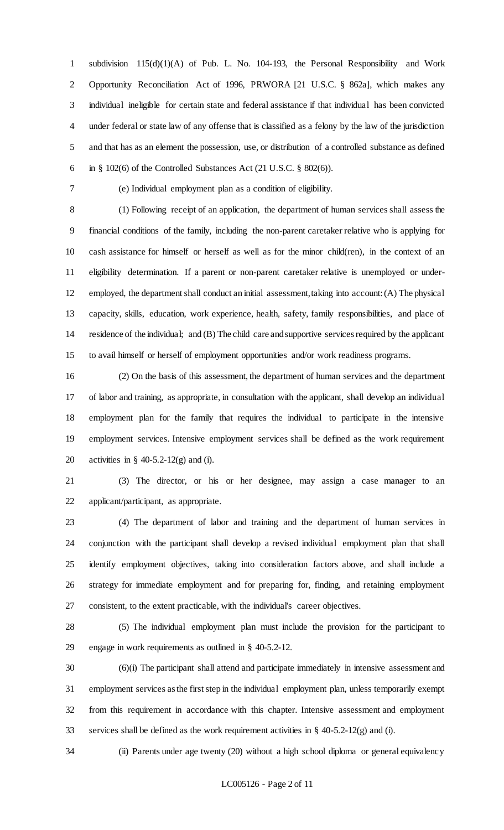subdivision 115(d)(1)(A) of Pub. L. No. 104-193, the Personal Responsibility and Work Opportunity Reconciliation Act of 1996, PRWORA [21 U.S.C. § 862a], which makes any individual ineligible for certain state and federal assistance if that individual has been convicted under federal or state law of any offense that is classified as a felony by the law of the jurisdiction and that has as an element the possession, use, or distribution of a controlled substance as defined 6 in  $\S$  102(6) of the Controlled Substances Act (21 U.S.C.  $\S$  802(6)).

(e) Individual employment plan as a condition of eligibility.

 (1) Following receipt of an application, the department of human services shall assess the financial conditions of the family, including the non-parent caretaker relative who is applying for cash assistance for himself or herself as well as for the minor child(ren), in the context of an eligibility determination. If a parent or non-parent caretaker relative is unemployed or under- employed, the department shall conduct an initial assessment, taking into account: (A) The physical capacity, skills, education, work experience, health, safety, family responsibilities, and place of residence of the individual; and (B) The child care and supportive services required by the applicant to avail himself or herself of employment opportunities and/or work readiness programs.

 (2) On the basis of this assessment, the department of human services and the department of labor and training, as appropriate, in consultation with the applicant, shall develop an individual employment plan for the family that requires the individual to participate in the intensive employment services. Intensive employment services shall be defined as the work requirement activities in § 40-5.2-12(g) and (i).

 (3) The director, or his or her designee, may assign a case manager to an applicant/participant, as appropriate.

 (4) The department of labor and training and the department of human services in conjunction with the participant shall develop a revised individual employment plan that shall identify employment objectives, taking into consideration factors above, and shall include a strategy for immediate employment and for preparing for, finding, and retaining employment consistent, to the extent practicable, with the individual's career objectives.

 (5) The individual employment plan must include the provision for the participant to engage in work requirements as outlined in § 40-5.2-12.

 (6)(i) The participant shall attend and participate immediately in intensive assessment and employment services as the first step in the individual employment plan, unless temporarily exempt from this requirement in accordance with this chapter. Intensive assessment and employment services shall be defined as the work requirement activities in § 40-5.2-12(g) and (i).

(ii) Parents under age twenty (20) without a high school diploma or general equivalency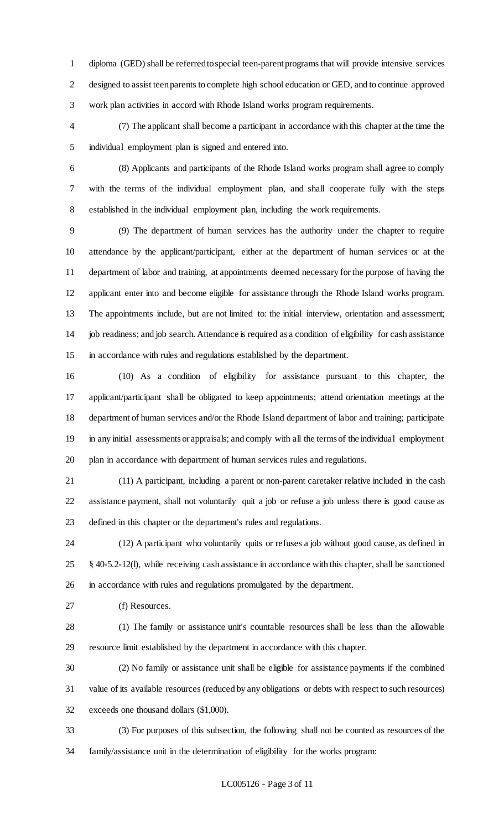diploma (GED) shall be referred to special teen-parent programs that will provide intensive services designed to assist teen parents to complete high school education or GED, and to continue approved work plan activities in accord with Rhode Island works program requirements.

 (7) The applicant shall become a participant in accordance with this chapter at the time the individual employment plan is signed and entered into.

 (8) Applicants and participants of the Rhode Island works program shall agree to comply with the terms of the individual employment plan, and shall cooperate fully with the steps established in the individual employment plan, including the work requirements.

 (9) The department of human services has the authority under the chapter to require attendance by the applicant/participant, either at the department of human services or at the department of labor and training, at appointments deemed necessary for the purpose of having the applicant enter into and become eligible for assistance through the Rhode Island works program. The appointments include, but are not limited to: the initial interview, orientation and assessment; job readiness; and job search. Attendance is required as a condition of eligibility for cash assistance in accordance with rules and regulations established by the department.

 (10) As a condition of eligibility for assistance pursuant to this chapter, the applicant/participant shall be obligated to keep appointments; attend orientation meetings at the department of human services and/or the Rhode Island department of labor and training; participate in any initial assessments or appraisals; and comply with all the terms of the individual employment plan in accordance with department of human services rules and regulations.

 (11) A participant, including a parent or non-parent caretaker relative included in the cash assistance payment, shall not voluntarily quit a job or refuse a job unless there is good cause as defined in this chapter or the department's rules and regulations.

 (12) A participant who voluntarily quits or refuses a job without good cause, as defined in § 40-5.2-12(l), while receiving cash assistance in accordance with this chapter, shall be sanctioned in accordance with rules and regulations promulgated by the department.

(f) Resources.

 (1) The family or assistance unit's countable resources shall be less than the allowable resource limit established by the department in accordance with this chapter.

 (2) No family or assistance unit shall be eligible for assistance payments if the combined value of its available resources (reduced by any obligations or debts with respect to such resources) exceeds one thousand dollars (\$1,000).

 (3) For purposes of this subsection, the following shall not be counted as resources of the family/assistance unit in the determination of eligibility for the works program: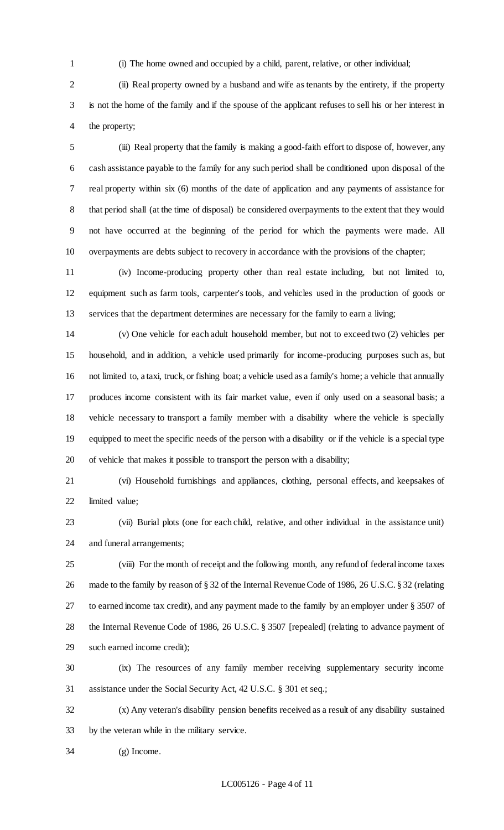(i) The home owned and occupied by a child, parent, relative, or other individual;

 (ii) Real property owned by a husband and wife as tenants by the entirety, if the property is not the home of the family and if the spouse of the applicant refuses to sell his or her interest in the property;

 (iii) Real property that the family is making a good-faith effort to dispose of, however, any cash assistance payable to the family for any such period shall be conditioned upon disposal of the real property within six (6) months of the date of application and any payments of assistance for that period shall (at the time of disposal) be considered overpayments to the extent that they would not have occurred at the beginning of the period for which the payments were made. All overpayments are debts subject to recovery in accordance with the provisions of the chapter;

 (iv) Income-producing property other than real estate including, but not limited to, equipment such as farm tools, carpenter's tools, and vehicles used in the production of goods or services that the department determines are necessary for the family to earn a living;

 (v) One vehicle for each adult household member, but not to exceed two (2) vehicles per household, and in addition, a vehicle used primarily for income-producing purposes such as, but not limited to, a taxi, truck, or fishing boat; a vehicle used as a family's home; a vehicle that annually produces income consistent with its fair market value, even if only used on a seasonal basis; a vehicle necessary to transport a family member with a disability where the vehicle is specially equipped to meet the specific needs of the person with a disability or if the vehicle is a special type of vehicle that makes it possible to transport the person with a disability;

 (vi) Household furnishings and appliances, clothing, personal effects, and keepsakes of limited value;

 (vii) Burial plots (one for each child, relative, and other individual in the assistance unit) and funeral arrangements;

 (viii) For the month of receipt and the following month, any refund of federal income taxes made to the family by reason of § 32 of the Internal Revenue Code of 1986, 26 U.S.C. § 32 (relating to earned income tax credit), and any payment made to the family by an employer under § 3507 of the Internal Revenue Code of 1986, 26 U.S.C. § 3507 [repealed] (relating to advance payment of such earned income credit);

 (ix) The resources of any family member receiving supplementary security income assistance under the Social Security Act, 42 U.S.C. § 301 et seq.;

 (x) Any veteran's disability pension benefits received as a result of any disability sustained by the veteran while in the military service.

(g) Income.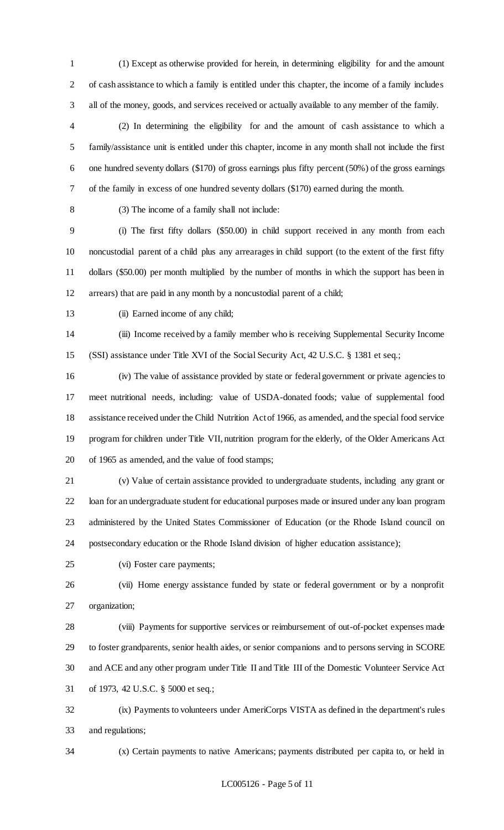(1) Except as otherwise provided for herein, in determining eligibility for and the amount of cash assistance to which a family is entitled under this chapter, the income of a family includes all of the money, goods, and services received or actually available to any member of the family.

 (2) In determining the eligibility for and the amount of cash assistance to which a family/assistance unit is entitled under this chapter, income in any month shall not include the first one hundred seventy dollars (\$170) of gross earnings plus fifty percent (50%) of the gross earnings of the family in excess of one hundred seventy dollars (\$170) earned during the month.

(3) The income of a family shall not include:

 (i) The first fifty dollars (\$50.00) in child support received in any month from each noncustodial parent of a child plus any arrearages in child support (to the extent of the first fifty dollars (\$50.00) per month multiplied by the number of months in which the support has been in arrears) that are paid in any month by a noncustodial parent of a child;

13 (ii) Earned income of any child;

 (iii) Income received by a family member who is receiving Supplemental Security Income (SSI) assistance under Title XVI of the Social Security Act, 42 U.S.C. § 1381 et seq.;

 (iv) The value of assistance provided by state or federal government or private agencies to meet nutritional needs, including: value of USDA-donated foods; value of supplemental food assistance received under the Child Nutrition Act of 1966, as amended, and the special food service program for children under Title VII, nutrition program for the elderly, of the Older Americans Act of 1965 as amended, and the value of food stamps;

 (v) Value of certain assistance provided to undergraduate students, including any grant or loan for an undergraduate student for educational purposes made or insured under any loan program administered by the United States Commissioner of Education (or the Rhode Island council on postsecondary education or the Rhode Island division of higher education assistance);

(vi) Foster care payments;

 (vii) Home energy assistance funded by state or federal government or by a nonprofit organization;

 (viii) Payments for supportive services or reimbursement of out-of-pocket expenses made to foster grandparents, senior health aides, or senior companions and to persons serving in SCORE and ACE and any other program under Title II and Title III of the Domestic Volunteer Service Act of 1973, 42 U.S.C. § 5000 et seq.;

 (ix) Payments to volunteers under AmeriCorps VISTA as defined in the department's rules and regulations;

(x) Certain payments to native Americans; payments distributed per capita to, or held in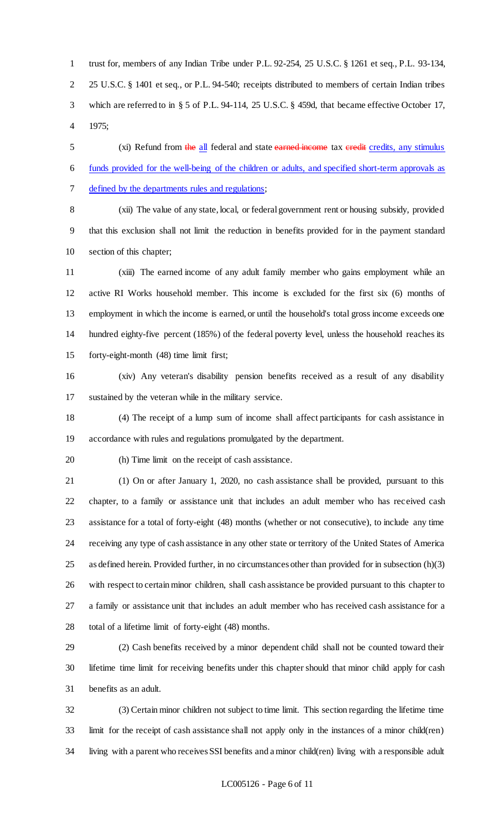trust for, members of any Indian Tribe under P.L. 92-254, 25 U.S.C. § 1261 et seq., P.L. 93-134, 25 U.S.C. § 1401 et seq., or P.L. 94-540; receipts distributed to members of certain Indian tribes which are referred to in § 5 of P.L. 94-114, 25 U.S.C. § 459d, that became effective October 17, 1975;

5 (xi) Refund from the all federal and state earned income tax eredit credits, any stimulus funds provided for the well-being of the children or adults, and specified short-term approvals as defined by the departments rules and regulations;

 (xii) The value of any state, local, or federal government rent or housing subsidy, provided that this exclusion shall not limit the reduction in benefits provided for in the payment standard section of this chapter;

 (xiii) The earned income of any adult family member who gains employment while an active RI Works household member. This income is excluded for the first six (6) months of employment in which the income is earned, or until the household's total gross income exceeds one hundred eighty-five percent (185%) of the federal poverty level, unless the household reaches its forty-eight-month (48) time limit first;

 (xiv) Any veteran's disability pension benefits received as a result of any disability sustained by the veteran while in the military service.

 (4) The receipt of a lump sum of income shall affect participants for cash assistance in accordance with rules and regulations promulgated by the department.

(h) Time limit on the receipt of cash assistance.

 (1) On or after January 1, 2020, no cash assistance shall be provided, pursuant to this chapter, to a family or assistance unit that includes an adult member who has received cash assistance for a total of forty-eight (48) months (whether or not consecutive), to include any time receiving any type of cash assistance in any other state or territory of the United States of America as defined herein. Provided further, in no circumstances other than provided for in subsection (h)(3) with respect to certain minor children, shall cash assistance be provided pursuant to this chapter to a family or assistance unit that includes an adult member who has received cash assistance for a total of a lifetime limit of forty-eight (48) months.

 (2) Cash benefits received by a minor dependent child shall not be counted toward their lifetime time limit for receiving benefits under this chapter should that minor child apply for cash benefits as an adult.

 (3) Certain minor children not subject to time limit. This section regarding the lifetime time limit for the receipt of cash assistance shall not apply only in the instances of a minor child(ren) living with a parent who receives SSI benefits and a minor child(ren) living with a responsible adult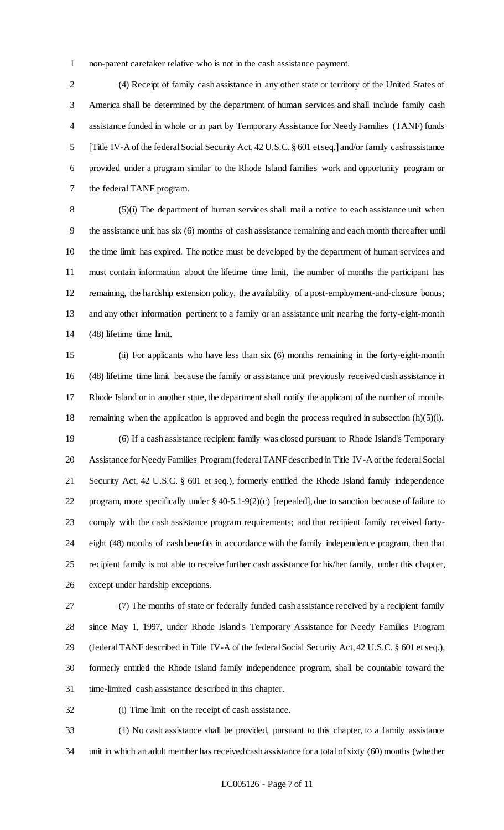non-parent caretaker relative who is not in the cash assistance payment.

 (4) Receipt of family cash assistance in any other state or territory of the United States of America shall be determined by the department of human services and shall include family cash assistance funded in whole or in part by Temporary Assistance for Needy Families (TANF) funds [Title IV-A of the federal Social Security Act, 42 U.S.C. § 601 et seq.] and/or family cash assistance provided under a program similar to the Rhode Island families work and opportunity program or the federal TANF program.

 (5)(i) The department of human services shall mail a notice to each assistance unit when the assistance unit has six (6) months of cash assistance remaining and each month thereafter until the time limit has expired. The notice must be developed by the department of human services and must contain information about the lifetime time limit, the number of months the participant has remaining, the hardship extension policy, the availability of a post-employment-and-closure bonus; and any other information pertinent to a family or an assistance unit nearing the forty-eight-month (48) lifetime time limit.

 (ii) For applicants who have less than six (6) months remaining in the forty-eight-month (48) lifetime time limit because the family or assistance unit previously received cash assistance in Rhode Island or in another state, the department shall notify the applicant of the number of months 18 remaining when the application is approved and begin the process required in subsection (h)(5)(i).

 (6) If a cash assistance recipient family was closed pursuant to Rhode Island's Temporary Assistance for Needy Families Program (federal TANF described in Title IV-A of the federal Social Security Act, 42 U.S.C. § 601 et seq.), formerly entitled the Rhode Island family independence program, more specifically under § 40-5.1-9(2)(c) [repealed], due to sanction because of failure to comply with the cash assistance program requirements; and that recipient family received forty- eight (48) months of cash benefits in accordance with the family independence program, then that recipient family is not able to receive further cash assistance for his/her family, under this chapter, except under hardship exceptions.

 (7) The months of state or federally funded cash assistance received by a recipient family since May 1, 1997, under Rhode Island's Temporary Assistance for Needy Families Program (federal TANF described in Title IV-A of the federal Social Security Act, 42 U.S.C. § 601 et seq.), formerly entitled the Rhode Island family independence program, shall be countable toward the time-limited cash assistance described in this chapter.

(i) Time limit on the receipt of cash assistance.

 (1) No cash assistance shall be provided, pursuant to this chapter, to a family assistance unit in which an adult member has received cash assistance for a total of sixty (60) months (whether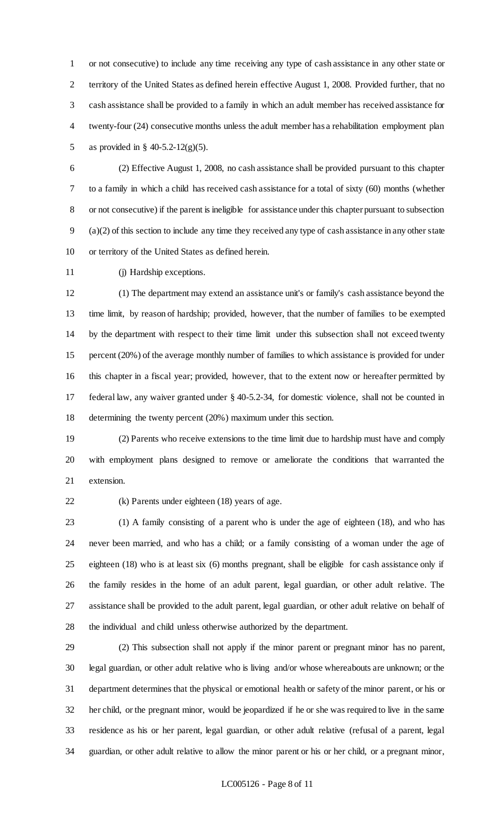or not consecutive) to include any time receiving any type of cash assistance in any other state or territory of the United States as defined herein effective August 1, 2008. Provided further, that no cash assistance shall be provided to a family in which an adult member has received assistance for twenty-four (24) consecutive months unless the adult member has a rehabilitation employment plan as provided in § 40-5.2-12(g)(5).

 (2) Effective August 1, 2008, no cash assistance shall be provided pursuant to this chapter to a family in which a child has received cash assistance for a total of sixty (60) months (whether or not consecutive) if the parent is ineligible for assistance under this chapter pursuant to subsection (a)(2) of this section to include any time they received any type of cash assistance in any other state or territory of the United States as defined herein.

(j) Hardship exceptions.

 (1) The department may extend an assistance unit's or family's cash assistance beyond the time limit, by reason of hardship; provided, however, that the number of families to be exempted by the department with respect to their time limit under this subsection shall not exceed twenty percent (20%) of the average monthly number of families to which assistance is provided for under this chapter in a fiscal year; provided, however, that to the extent now or hereafter permitted by federal law, any waiver granted under § 40-5.2-34, for domestic violence, shall not be counted in determining the twenty percent (20%) maximum under this section.

 (2) Parents who receive extensions to the time limit due to hardship must have and comply with employment plans designed to remove or ameliorate the conditions that warranted the extension.

(k) Parents under eighteen (18) years of age.

 (1) A family consisting of a parent who is under the age of eighteen (18), and who has never been married, and who has a child; or a family consisting of a woman under the age of eighteen (18) who is at least six (6) months pregnant, shall be eligible for cash assistance only if the family resides in the home of an adult parent, legal guardian, or other adult relative. The assistance shall be provided to the adult parent, legal guardian, or other adult relative on behalf of the individual and child unless otherwise authorized by the department.

 (2) This subsection shall not apply if the minor parent or pregnant minor has no parent, legal guardian, or other adult relative who is living and/or whose whereabouts are unknown; or the department determines that the physical or emotional health or safety of the minor parent, or his or her child, or the pregnant minor, would be jeopardized if he or she was required to live in the same residence as his or her parent, legal guardian, or other adult relative (refusal of a parent, legal guardian, or other adult relative to allow the minor parent or his or her child, or a pregnant minor,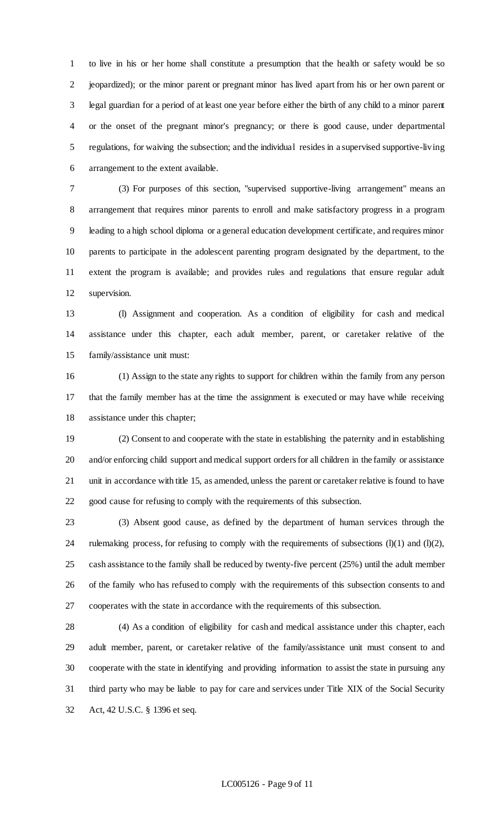to live in his or her home shall constitute a presumption that the health or safety would be so jeopardized); or the minor parent or pregnant minor has lived apart from his or her own parent or legal guardian for a period of at least one year before either the birth of any child to a minor parent or the onset of the pregnant minor's pregnancy; or there is good cause, under departmental regulations, for waiving the subsection; and the individual resides in a supervised supportive-living arrangement to the extent available.

 (3) For purposes of this section, "supervised supportive-living arrangement" means an arrangement that requires minor parents to enroll and make satisfactory progress in a program leading to a high school diploma or a general education development certificate, and requires minor parents to participate in the adolescent parenting program designated by the department, to the extent the program is available; and provides rules and regulations that ensure regular adult supervision.

 (l) Assignment and cooperation. As a condition of eligibility for cash and medical assistance under this chapter, each adult member, parent, or caretaker relative of the family/assistance unit must:

 (1) Assign to the state any rights to support for children within the family from any person that the family member has at the time the assignment is executed or may have while receiving assistance under this chapter;

 (2) Consent to and cooperate with the state in establishing the paternity and in establishing and/or enforcing child support and medical support orders for all children in the family or assistance unit in accordance with title 15, as amended, unless the parent or caretaker relative is found to have good cause for refusing to comply with the requirements of this subsection.

 (3) Absent good cause, as defined by the department of human services through the 24 rulemaking process, for refusing to comply with the requirements of subsections  $(l)(1)$  and  $(l)(2)$ , cash assistance to the family shall be reduced by twenty-five percent (25%) until the adult member of the family who has refused to comply with the requirements of this subsection consents to and cooperates with the state in accordance with the requirements of this subsection.

 (4) As a condition of eligibility for cash and medical assistance under this chapter, each adult member, parent, or caretaker relative of the family/assistance unit must consent to and cooperate with the state in identifying and providing information to assist the state in pursuing any third party who may be liable to pay for care and services under Title XIX of the Social Security Act, 42 U.S.C. § 1396 et seq.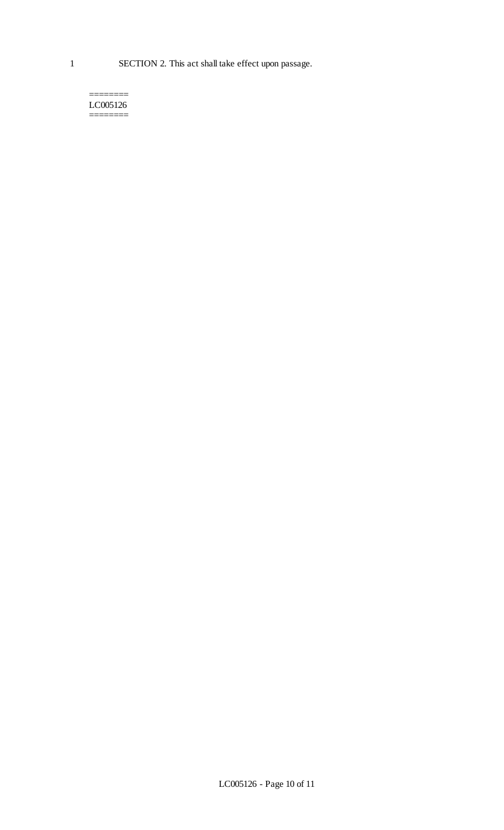#### ======== LC005126 ========